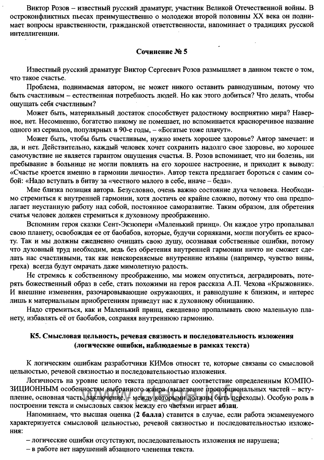## К5. Смысловая цельность, речевая связность и последовательность изложения (логические ошибки, наблюдаемые в рамках текста)

К логическим ошибкам разработчики КИМов относят те, которые связаны со смысловой цельностью, речевой связностью и последовательностью изложения.

Логичность на уровне целого текста предполагает соответствие определенным КОМПО-ЗИЦИОННЫМ особенностям выбранного жанра (выделение пропорциональных частей - вступление, основная часть, заключение, - между которыми должны быть переходы). Особую роль в построении текста и смысловых связок между его частями играет абзац.

Напоминаем, что высшая оценка (2 балла) ставится в случае, если работа экзаменуемого характеризуется смысловой цельностью, речевой связностью и последовательностью изложения:

- логические ошибки отсутствуют, последовательность изложения не нарушена;
- в работе нет нарушений абзацного членения текста.